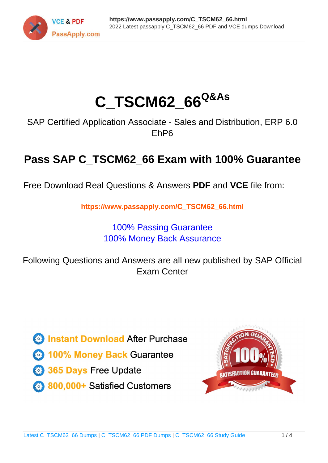

# **C\_TSCM62\_66Q&As**

SAP Certified Application Associate - Sales and Distribution, ERP 6.0 EhP6

## **Pass SAP C\_TSCM62\_66 Exam with 100% Guarantee**

Free Download Real Questions & Answers **PDF** and **VCE** file from:

**https://www.passapply.com/C\_TSCM62\_66.html**

### 100% Passing Guarantee 100% Money Back Assurance

Following Questions and Answers are all new published by SAP Official Exam Center

**Colonization** Download After Purchase

- **@ 100% Money Back Guarantee**
- **63 365 Days Free Update**
- 800,000+ Satisfied Customers

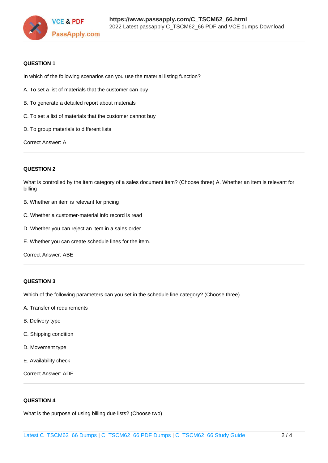

#### **QUESTION 1**

In which of the following scenarios can you use the material listing function?

- A. To set a list of materials that the customer can buy
- B. To generate a detailed report about materials
- C. To set a list of materials that the customer cannot buy
- D. To group materials to different lists

Correct Answer: A

#### **QUESTION 2**

What is controlled by the item category of a sales document item? (Choose three) A. Whether an item is relevant for billing

- B. Whether an item is relevant for pricing
- C. Whether a customer-material info record is read
- D. Whether you can reject an item in a sales order
- E. Whether you can create schedule lines for the item.

Correct Answer: ABE

#### **QUESTION 3**

Which of the following parameters can you set in the schedule line category? (Choose three)

- A. Transfer of requirements
- B. Delivery type
- C. Shipping condition
- D. Movement type
- E. Availability check

Correct Answer: ADE

#### **QUESTION 4**

What is the purpose of using billing due lists? (Choose two)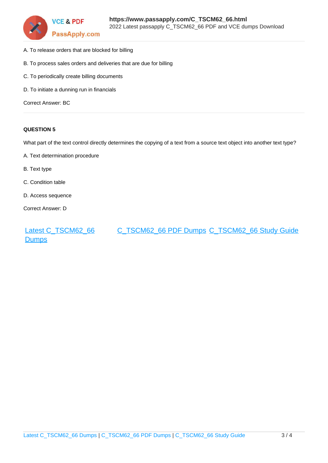

- A. To release orders that are blocked for billing
- B. To process sales orders and deliveries that are due for billing
- C. To periodically create billing documents
- D. To initiate a dunning run in financials

Correct Answer: BC

#### **QUESTION 5**

What part of the text control directly determines the copying of a text from a source text object into another text type?

- A. Text determination procedure
- B. Text type
- C. Condition table
- D. Access sequence
- Correct Answer: D

[Latest C\\_TSCM62\\_66](https://www.passapply.com/C_TSCM62_66.html) **[Dumps](https://www.passapply.com/C_TSCM62_66.html)** [C\\_TSCM62\\_66 PDF Dumps](https://www.passapply.com/C_TSCM62_66.html) [C\\_TSCM62\\_66 Study Guide](https://www.passapply.com/C_TSCM62_66.html)